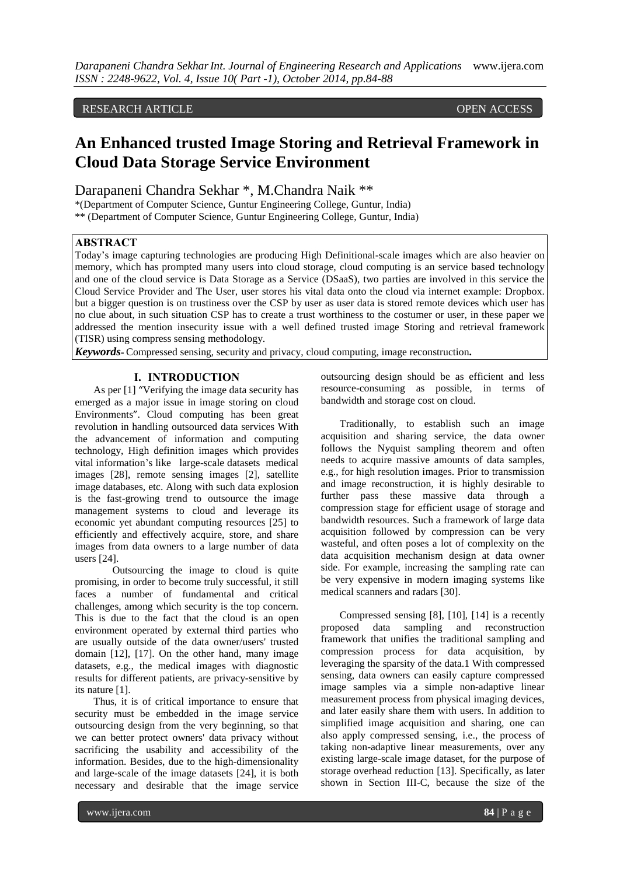## RESEARCH ARTICLE OPEN ACCESS

# **An Enhanced trusted Image Storing and Retrieval Framework in Cloud Data Storage Service Environment**

Darapaneni Chandra Sekhar \*, M.Chandra Naik \*\*

\*(Department of Computer Science, Guntur Engineering College, Guntur, India) \*\* (Department of Computer Science, Guntur Engineering College, Guntur, India)

#### **ABSTRACT**

Today's image capturing technologies are producing High Definitional-scale images which are also heavier on memory, which has prompted many users into cloud storage, cloud computing is an service based technology and one of the cloud service is Data Storage as a Service (DSaaS), two parties are involved in this service the Cloud Service Provider and The User, user stores his vital data onto the cloud via internet example: Dropbox. but a bigger question is on trustiness over the CSP by user as user data is stored remote devices which user has no clue about, in such situation CSP has to create a trust worthiness to the costumer or user, in these paper we addressed the mention insecurity issue with a well defined trusted image Storing and retrieval framework (TISR) using compress sensing methodology.

*Keywords***-** Compressed sensing, security and privacy, cloud computing, image reconstruction**.**

#### **I. INTRODUCTION**

As per [1] "Verifying the image data security has emerged as a major issue in image storing on cloud Environments". Cloud computing has been great revolution in handling outsourced data services With the advancement of information and computing technology, High definition images which provides vital information's like large-scale datasets medical images [28], remote sensing images [2], satellite image databases, etc. Along with such data explosion is the fast-growing trend to outsource the image management systems to cloud and leverage its economic yet abundant computing resources [25] to efficiently and effectively acquire, store, and share images from data owners to a large number of data users [24].

Outsourcing the image to cloud is quite promising, in order to become truly successful, it still faces a number of fundamental and critical challenges, among which security is the top concern. This is due to the fact that the cloud is an open environment operated by external third parties who are usually outside of the data owner/users' trusted domain [12], [17]. On the other hand, many image datasets, e.g., the medical images with diagnostic results for different patients, are privacy-sensitive by its nature [1].

Thus, it is of critical importance to ensure that security must be embedded in the image service outsourcing design from the very beginning, so that we can better protect owners' data privacy without sacrificing the usability and accessibility of the information. Besides, due to the high-dimensionality and large-scale of the image datasets [24], it is both necessary and desirable that the image service

outsourcing design should be as efficient and less resource-consuming as possible, in terms of bandwidth and storage cost on cloud.

Traditionally, to establish such an image acquisition and sharing service, the data owner follows the Nyquist sampling theorem and often needs to acquire massive amounts of data samples, e.g., for high resolution images. Prior to transmission and image reconstruction, it is highly desirable to further pass these massive data through a compression stage for efficient usage of storage and bandwidth resources. Such a framework of large data acquisition followed by compression can be very wasteful, and often poses a lot of complexity on the data acquisition mechanism design at data owner side. For example, increasing the sampling rate can be very expensive in modern imaging systems like medical scanners and radars [30].

Compressed sensing [8], [10], [14] is a recently proposed data sampling and reconstruction framework that unifies the traditional sampling and compression process for data acquisition, by leveraging the sparsity of the data.1 With compressed sensing, data owners can easily capture compressed image samples via a simple non-adaptive linear measurement process from physical imaging devices, and later easily share them with users. In addition to simplified image acquisition and sharing, one can also apply compressed sensing, i.e., the process of taking non-adaptive linear measurements, over any existing large-scale image dataset, for the purpose of storage overhead reduction [13]. Specifically, as later shown in Section III-C, because the size of the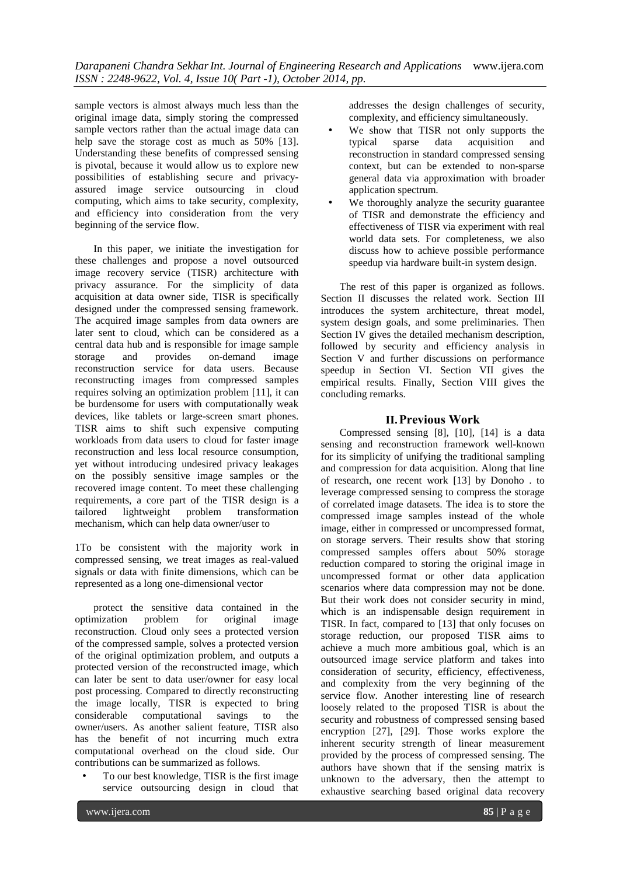sample vectors is almost always much less than the original image data, simply storing the compressed sample vectors rather than the actual image data can help save the storage cost as much as 50% [13]. Understanding these benefits of compressed sensing is pivotal, because it would allow us to explore new possibilities of establishing secure and privacyassured image service outsourcing in cloud computing, which aims to take security, complexity, and efficiency into consideration from the very beginning of the service flow.

In this paper, we initiate the investigation for these challenges and propose a novel outsourced image recovery service (TISR) architecture with privacy assurance. For the simplicity of data acquisition at data owner side, TISR is specifically designed under the compressed sensing framework. The acquired image samples from data owners are later sent to cloud, which can be considered as a central data hub and is responsible for image sample<br>storage and provides on-demand image storage and provides on-demand image reconstruction service for data users. Because reconstructing images from compressed samples requires solving an optimization problem [11], it can be burdensome for users with computationally weak devices, like tablets or large-screen smart phones. TISR aims to shift such expensive computing workloads from data users to cloud for faster image reconstruction and less local resource consumption, yet without introducing undesired privacy leakages on the possibly sensitive image samples or the recovered image content. To meet these challenging requirements, a core part of the TISR design is a tailored lightweight problem transformation mechanism, which can help data owner/user to

1To be consistent with the majority work in compressed sensing, we treat images as real-valued signals or data with finite dimensions, which can be represented as a long one-dimensional vector

protect the sensitive data contained in the optimization problem for original image reconstruction. Cloud only sees a protected version of the compressed sample, solves a protected version of the original optimization problem, and outputs a protected version of the reconstructed image, which can later be sent to data user/owner for easy local post processing. Compared to directly reconstructing the image locally, TISR is expected to bring considerable computational savings to the owner/users. As another salient feature, TISR also has the benefit of not incurring much extra computational overhead on the cloud side. Our contributions can be summarized as follows.

• To our best knowledge, TISR is the first image service outsourcing design in cloud that addresses the design challenges of security, complexity, and efficiency simultaneously.

- We show that TISR not only supports the typical sparse data acquisition and reconstruction in standard compressed sensing context, but can be extended to non-sparse general data via approximation with broader application spectrum.
- We thoroughly analyze the security guarantee of TISR and demonstrate the efficiency and effectiveness of TISR via experiment with real world data sets. For completeness, we also discuss how to achieve possible performance speedup via hardware built-in system design.

The rest of this paper is organized as follows. Section II discusses the related work. Section III introduces the system architecture, threat model, system design goals, and some preliminaries. Then Section IV gives the detailed mechanism description, followed by security and efficiency analysis in Section V and further discussions on performance speedup in Section VI. Section VII gives the empirical results. Finally, Section VIII gives the concluding remarks.

## **II.Previous Work**

Compressed sensing [8], [10], [14] is a data sensing and reconstruction framework well-known for its simplicity of unifying the traditional sampling and compression for data acquisition. Along that line of research, one recent work [13] by Donoho . to leverage compressed sensing to compress the storage of correlated image datasets. The idea is to store the compressed image samples instead of the whole image, either in compressed or uncompressed format, on storage servers. Their results show that storing compressed samples offers about 50% storage reduction compared to storing the original image in uncompressed format or other data application scenarios where data compression may not be done. But their work does not consider security in mind, which is an indispensable design requirement in TISR. In fact, compared to [13] that only focuses on storage reduction, our proposed TISR aims to achieve a much more ambitious goal, which is an outsourced image service platform and takes into consideration of security, efficiency, effectiveness, and complexity from the very beginning of the service flow. Another interesting line of research loosely related to the proposed TISR is about the security and robustness of compressed sensing based encryption [27], [29]. Those works explore the inherent security strength of linear measurement provided by the process of compressed sensing. The authors have shown that if the sensing matrix is unknown to the adversary, then the attempt to exhaustive searching based original data recovery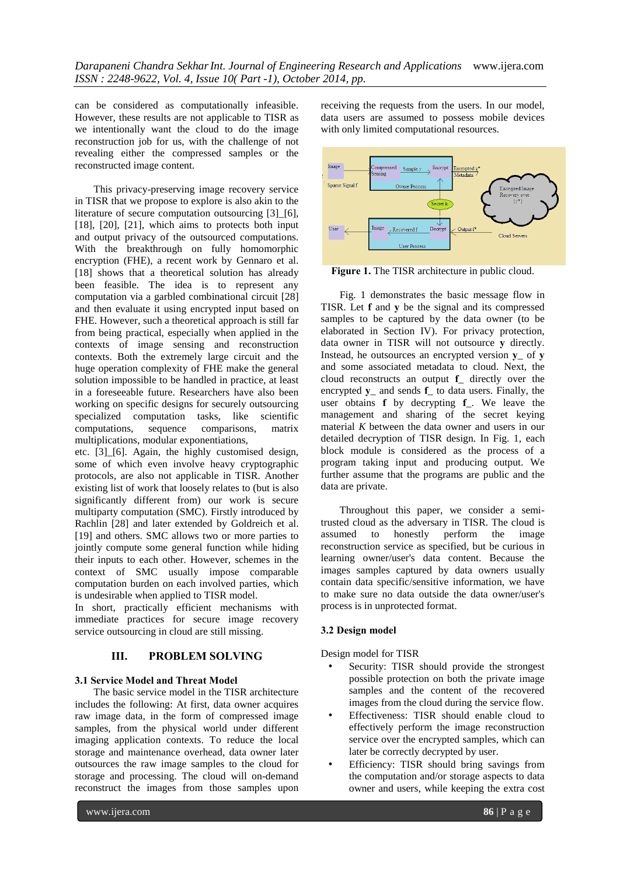can be considered as computationally infeasible. However, these results are not applicable to TISR as we intentionally want the cloud to do the image reconstruction job for us, with the challenge of not revealing either the compressed samples or the reconstructed image content.

This privacy-preserving image recovery service in TISR that we propose to explore is also akin to the literature of secure computation outsourcing [3] [6], [18], [20], [21], which aims to protects both input and output privacy of the outsourced computations. With the breakthrough on fully homomorphic encryption (FHE), a recent work by Gennaro et al. [18] shows that a theoretical solution has already been feasible. The idea is to represent any computation via a garbled combinational circuit [28] and then evaluate it using encrypted input based on FHE. However, such a theoretical approach is still far from being practical, especially when applied in the contexts of image sensing and reconstruction contexts. Both the extremely large circuit and the huge operation complexity of FHE make the general solution impossible to be handled in practice, at least in a foreseeable future. Researchers have also been working on specific designs for securely outsourcing specialized computation tasks, like scientific computations, sequence comparisons, matrix multiplications, modular exponentiations,

etc. [3]\_[6]. Again, the highly customised design, some of which even involve heavy cryptographic protocols, are also not applicable in TISR. Another existing list of work that loosely relates to (but is also significantly different from) our work is secure multiparty computation (SMC). Firstly introduced by Rachlin [28] and later extended by Goldreich et al. [19] and others. SMC allows two or more parties to jointly compute some general function while hiding their inputs to each other. However, schemes in the context of SMC usually impose comparable computation burden on each involved parties, which is undesirable when applied to TISR model.

In short, practically efficient mechanisms with immediate practices for secure image recovery service outsourcing in cloud are still missing.

### **III. PROBLEM SOLVING**

### **3.1 Service Model and Threat Model**

The basic service model in the TISR architecture includes the following: At first, data owner acquires raw image data, in the form of compressed image samples, from the physical world under different imaging application contexts. To reduce the local storage and maintenance overhead, data owner later outsources the raw image samples to the cloud for storage and processing. The cloud will on-demand reconstruct the images from those samples upon

receiving the requests from the users. In our model, data users are assumed to possess mobile devices with only limited computational resources.



**Figure 1.** The TISR architecture in public cloud.

Fig. 1 demonstrates the basic message flow in TISR. Let **f** and **y** be the signal and its compressed samples to be captured by the data owner (to be elaborated in Section IV). For privacy protection, data owner in TISR will not outsource **y** directly. Instead, he outsources an encrypted version **y**\_ of **y** and some associated metadata to cloud. Next, the cloud reconstructs an output **f**\_ directly over the encrypted **y**\_ and sends **f**\_ to data users. Finally, the user obtains **f** by decrypting **f**\_. We leave the management and sharing of the secret keying material *K* between the data owner and users in our detailed decryption of TISR design. In Fig. 1, each block module is considered as the process of a program taking input and producing output. We further assume that the programs are public and the data are private.

Throughout this paper, we consider a semitrusted cloud as the adversary in TISR. The cloud is assumed to honestly perform the image reconstruction service as specified, but be curious in learning owner/user's data content. Because the images samples captured by data owners usually contain data specific/sensitive information, we have to make sure no data outside the data owner/user's process is in unprotected format.

### **3.2 Design model**

Design model for TISR

- Security: TISR should provide the strongest possible protection on both the private image samples and the content of the recovered images from the cloud during the service flow.
- Effectiveness: TISR should enable cloud to effectively perform the image reconstruction service over the encrypted samples, which can later be correctly decrypted by user.
- Efficiency: TISR should bring savings from the computation and/or storage aspects to data owner and users, while keeping the extra cost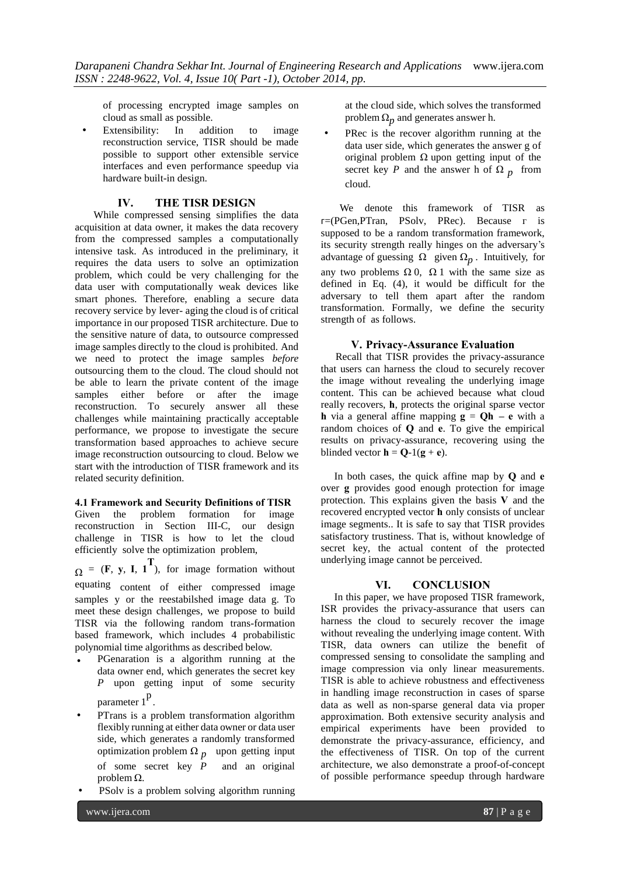of processing encrypted image samples on cloud as small as possible.

Extensibility: In addition to image reconstruction service, TISR should be made possible to support other extensible service interfaces and even performance speedup via hardware built-in design.

### **IV. THE TISR DESIGN**

While compressed sensing simplifies the data acquisition at data owner, it makes the data recovery from the compressed samples a computationally intensive task. As introduced in the preliminary, it requires the data users to solve an optimization problem, which could be very challenging for the data user with computationally weak devices like smart phones. Therefore, enabling a secure data recovery service by lever- aging the cloud is of critical importance in our proposed TISR architecture. Due to the sensitive nature of data, to outsource compressed image samples directly to the cloud is prohibited. And we need to protect the image samples *before* outsourcing them to the cloud. The cloud should not be able to learn the private content of the image samples either before or after the image reconstruction. To securely answer all these challenges while maintaining practically acceptable performance, we propose to investigate the secure transformation based approaches to achieve secure image reconstruction outsourcing to cloud. Below we start with the introduction of TISR framework and its related security definition.

### **4.1 Framework and Security Definitions of TISR**

Given the problem formation for image reconstruction in Section III-C, our design challenge in TISR is how to let the cloud efficiently solve the optimization problem,

 $\Omega = (\mathbf{F}, \mathbf{y}, \mathbf{I}, \mathbf{1}^T)$ , for image formation without equating content of either compressed image samples y or the reestabilshed image data g. To meet these design challenges, we propose to build TISR via the following random trans-formation based framework, which includes 4 probabilistic polynomial time algorithms as described below.

- PGenaration is a algorithm running at the data owner end, which generates the secret key *P* upon getting input of some security parameter 1<sup>p</sup>.
- PTrans is a problem transformation algorithm flexibly running at either data owner or data user side, which generates a randomly transformed optimization problem  $\Omega_p$  upon getting input of some secret key *P* and an original problem Ω.
- PSolv is a problem solving algorithm running

at the cloud side, which solves the transformed problem  $\Omega_p$  and generates answer h.

PRec is the recover algorithm running at the data user side, which generates the answer g of original problem  $\Omega$  upon getting input of the secret key *P* and the answer h of  $\Omega$  *p* from cloud.

We denote this framework of TISR as ᴦ=(PGen,PTran, PSolv, PRec). Because г is supposed to be a random transformation framework, its security strength really hinges on the adversary's advantage of guessing  $\Omega$  given  $\Omega_p$ . Intuitively, for any two problems  $\Omega$  0,  $\Omega$  1 with the same size as defined in Eq. (4), it would be difficult for the adversary to tell them apart after the random transformation. Formally, we define the security strength of as follows.

### **V. Privacy-Assurance Evaluation**

Recall that TISR provides the privacy-assurance that users can harness the cloud to securely recover the image without revealing the underlying image content. This can be achieved because what cloud really recovers, **h**, protects the original sparse vector **h** via a general affine mapping  $g = Oh -e$  with a random choices of **Q** and **e**. To give the empirical results on privacy-assurance, recovering using the blinded vector  $\mathbf{h} = \mathbf{Q} - 1(\mathbf{g} + \mathbf{e}).$ 

In both cases, the quick affine map by **Q** and **e** over **g** provides good enough protection for image protection. This explains given the basis **V** and the recovered encrypted vector **h** only consists of unclear image segments.. It is safe to say that TISR provides satisfactory trustiness. That is, without knowledge of secret key, the actual content of the protected underlying image cannot be perceived.

### **VI. CONCLUSION**

In this paper, we have proposed TISR framework, ISR provides the privacy-assurance that users can harness the cloud to securely recover the image without revealing the underlying image content. With TISR, data owners can utilize the benefit of compressed sensing to consolidate the sampling and image compression via only linear measurements. TISR is able to achieve robustness and effectiveness in handling image reconstruction in cases of sparse data as well as non-sparse general data via proper approximation. Both extensive security analysis and empirical experiments have been provided to demonstrate the privacy-assurance, efficiency, and the effectiveness of TISR. On top of the current architecture, we also demonstrate a proof-of-concept of possible performance speedup through hardware